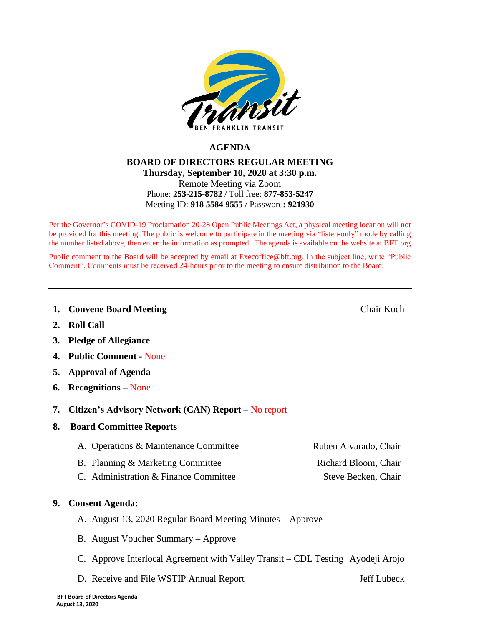

# **AGENDA**

### **BOARD OF DIRECTORS REGULAR MEETING Thursday, September 10, 2020 at 3:30 p.m.** Remote Meeting via Zoom Phone: **253-215-8782** / Toll free: **877-853-5247** Meeting ID: **918 5584 9555** / Password**: 921930**

Per the Governor's COVID-19 Proclamation 20-28 Open Public Meetings Act, a physical meeting location will not be provided for this meeting. The public is welcome to participate in the meeting via "listen-only" mode by calling the number listed above, then enter the information as prompted. The agenda is available on the website at BFT.org

Public comment to the Board will be accepted by email at [Execoffice@bft.org.](mailto:Execoffice@bft.org) In the subject line, write "Public Comment". Comments must be received 24-hours prior to the meeting to ensure distribution to the Board.

**1. Convene Board Meeting Chair Koch Chair Koch** 

- **2. Roll Call**
- **3. Pledge of Allegiance**
- **4. Public Comment -** None
- **5. Approval of Agenda**
- **6. Recognitions –** None
- **7. Citizen's Advisory Network (CAN) Report –** No report
- **8. Board Committee Reports**
	- A. Operations & Maintenance Committee Ruben Alvarado, Chair
	- B. Planning & Marketing Committee **Richard Bloom, Chair**
	- C. Administration & Finance Committee Steve Becken, Chair
- **9. Consent Agenda:** 
	- A. August 13, 2020 Regular Board Meeting Minutes Approve
	- B. August Voucher Summary Approve
	- C. Approve Interlocal Agreement with Valley Transit CDL Testing Ayodeji Arojo
	- D. Receive and File WSTIP Annual Report Jeff Lubeck